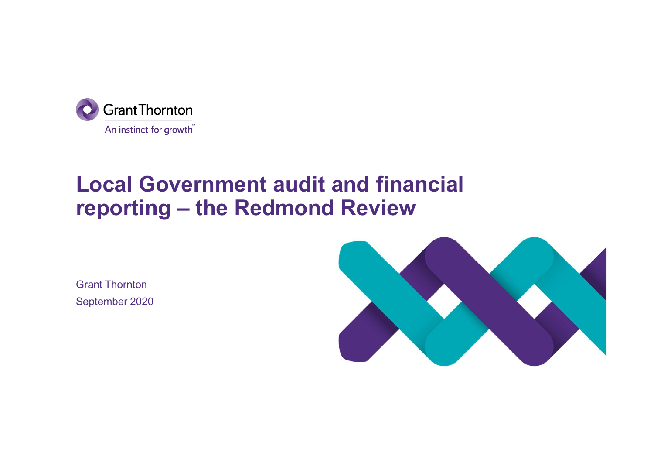

# Local Government audit and financial **O** GrantThornton<br>An instinct for growth<br>**Local Government audit and financial**<br>reporting — the Redmond Review

Grant Thornton September 2020

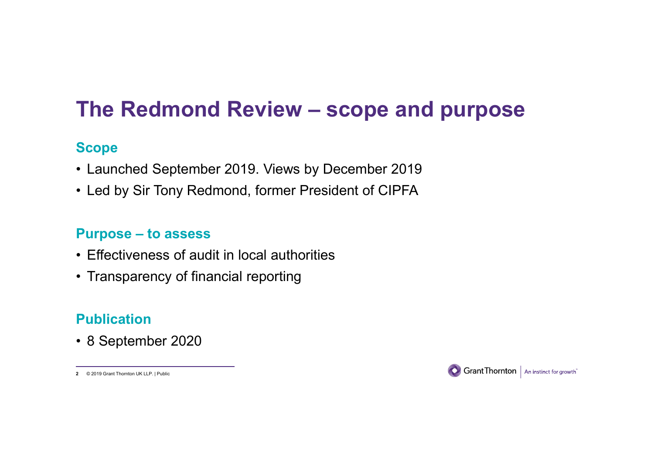# The Redmond Review – scope and purpose<br><sub>Scope</sub> The Redmond Review – scope and purpose<br>Scope<br>• Launched September 2019. Views by December 2019<br>• Led by Sir Tony Redmond, former President of CIPFA The Redmond Review — scope and purpose<br>
• Launched September 2019. Views by December 2019<br>• Led by Sir Tony Redmond, former President of CIPFA<br>
Purpose – to assess The Redmond Review – scope and<br>Scope<br>• Launched September 2019. Views by December 20<br>• Led by Sir Tony Redmond, former President of CIP<br>Purpose – to assess<br>• Effectiveness of audit in local authorities<br>• Transparency of fi The Redmond Review - scope a<br>
Scope<br>
• Launched September 2019. Views by December 20<br>
• Led by Sir Tony Redmond, former President of CIPP<br>
Purpose – to assess<br>
• Effectiveness of audit in local authorities<br>
• Transparency The Redmond Review - scope and<br>
Scope<br>
• Launched September 2019. Views by December 2019<br>
• Led by Sir Tony Redmond, former President of CIPFA<br>
Purpose - to assess<br>
• Effectiveness of audit in local authorities<br>
• Transpar

#### **Scope**

- 
- Launched September 2019. Views by De<br>• Led by Sir Tony Redmond, former Preside<br>Purpose to assess<br>• Effectiveness of audit in local authorities<br>• Transparency of financial reporting<br>Publication<br>• 8 September 2020

- 
- 

# Publication

© 2019 Grant Thornton UK LLP. | Public 2

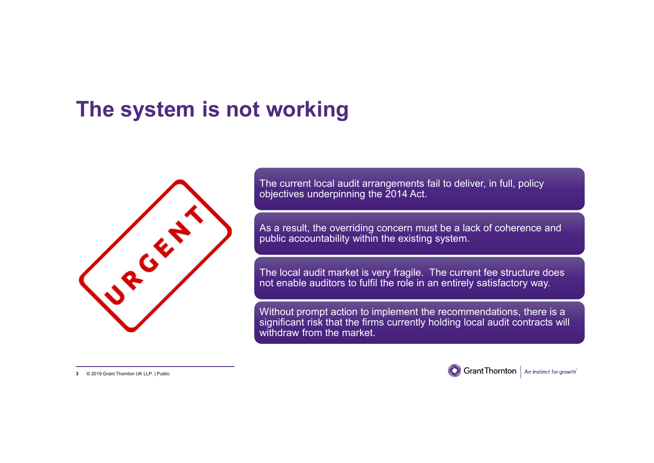# The system is not working



The current local audit arrangements fail to deliver, in full, policy objectives underpinning the 2014 Act.

As a result, the overriding concern must be a lack of coherence and public accountability within the existing system.

The local audit market is very fragile. The current fee structure does not enable auditors to fulfil the role in an entirely satisfactory way.

Without prompt action to implement the recommendations, there is a significant risk that the firms currently holding local audit contracts will withdraw from the market.

3 © 2019 Grant Thornton UK LLP. | Public



Grant Thornton | An instinct for growth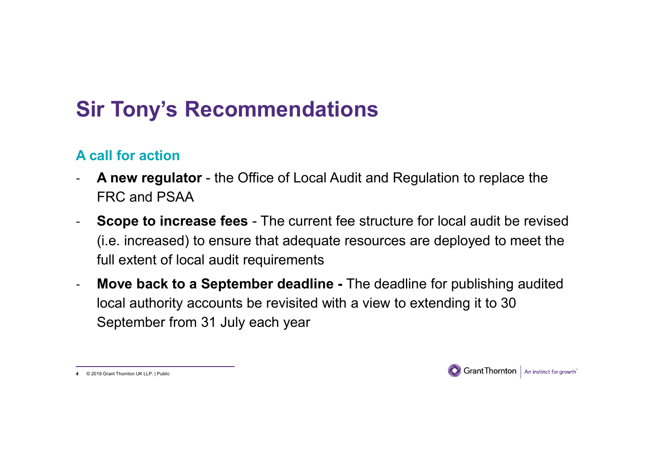# Sir Tony's Recommendations

## A call for action

- Sir Tony's Recommendations<br>- A call for action<br>- A new regulator the Office of Local Audit and Regulation to replace the<br>FRC and PSAA<br>- Scope to increase fees The current fee structure for local audit be revised FRC and PSAA
- Sir Tony's Recommendations<br>
A call for action<br>
 A new regulator the Office of Local Audit and Regulation to replace the<br>
FRC and PSAA<br>
 Scope to increase fees The current fee structure for local audit be revised<br>
(i. (i.e. increased) to ensure that adequate resources are deployed to meet the full extent of local audit requirements
- Move back to a September deadline The deadline for publishing audited local authority accounts be revisited with a view to extending it to 30 September from 31 July each year

4 © 2019 Grant Thornton UK LLP. | Public

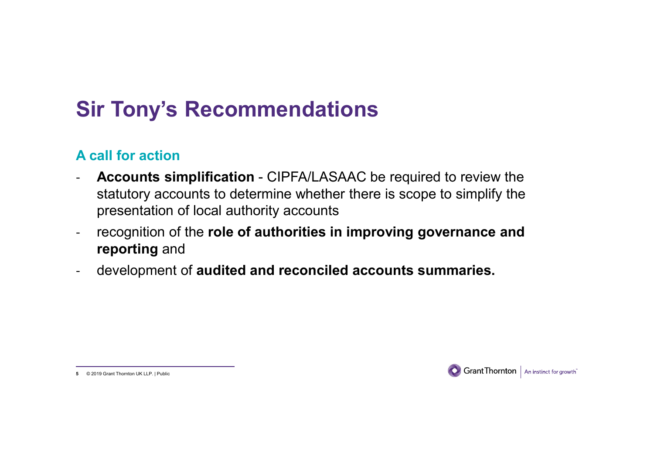# Sir Tony's Recommendations

### A call for action

- Sir Tony's Recommendations<br>A call for action<br>- Accounts simplification CIPFA/LASAAC be required to review the<br>statutory accounts to determine whether there is scope to simplify the<br>presentation of local authority account statutory accounts to determine whether there is scope to simplify the presentation of local authority accounts
- recognition of the role of authorities in improving governance and reporting and
- development of audited and reconciled accounts summaries.



<sup>5 © 2019</sup> Grant Thornton UK LLP. | Public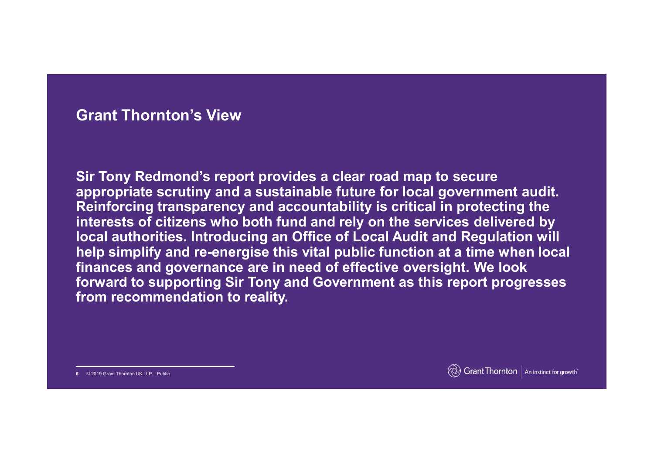#### Grant Thornton's View

Sir Tony Redmond's report provides a clear road map to secure appropriate scrutiny and a sustainable future for local government audit. Reinforcing transparency and accountability is critical in protecting the interests of citizens who both fund and rely on the services delivered by local authorities. Introducing an Office of Local Audit and Regulation will **Grant Thornton's View**<br>Sir Tony Redmond's report provides a clear road map to secure<br>appropriate scrutiny and a sustainable future for local government audit.<br>Reinforcing transparency and accountability is critical in pro Grant Thornton's View<br>Sir Tony Redmond's report provides a clear road map to secure<br>appropriate scrutiny and a sustainable future for local government audit.<br>Reinforcing transparency and accountability is critical in prote forward to supporting Sir Tony and Government as this report progresses from recommendation to reality.